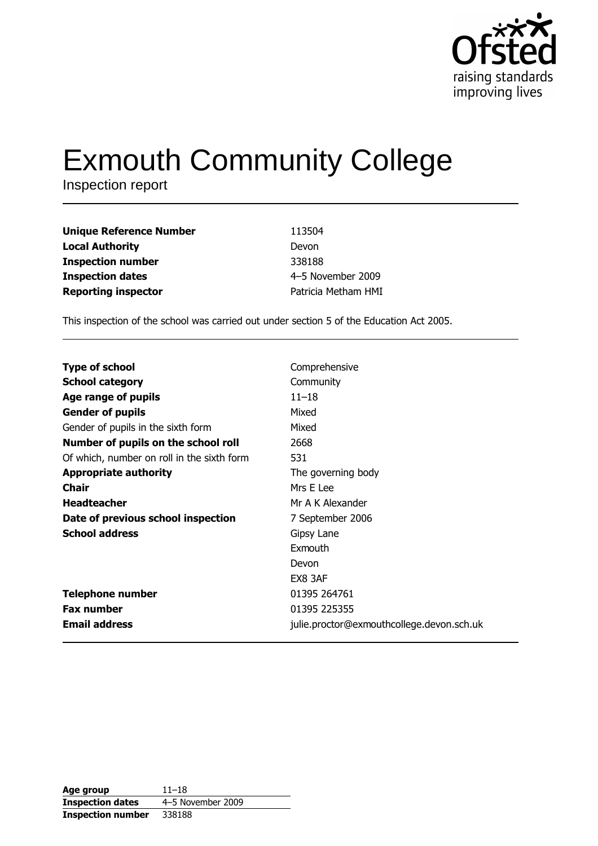

# **Exmouth Community College**

Inspection report

| <b>Unique Reference Number</b> | 113504              |
|--------------------------------|---------------------|
| <b>Local Authority</b>         | Devon               |
| <b>Inspection number</b>       | 338188              |
| <b>Inspection dates</b>        | 4-5 November 2009   |
| <b>Reporting inspector</b>     | Patricia Metham HMI |

This inspection of the school was carried out under section 5 of the Education Act 2005.

| <b>Type of school</b>                      | Comprehensive                             |
|--------------------------------------------|-------------------------------------------|
| <b>School category</b>                     | Community                                 |
| Age range of pupils                        | $11 - 18$                                 |
| <b>Gender of pupils</b>                    | Mixed                                     |
| Gender of pupils in the sixth form         | Mixed                                     |
| Number of pupils on the school roll        | 2668                                      |
| Of which, number on roll in the sixth form | 531                                       |
| <b>Appropriate authority</b>               | The governing body                        |
| Chair                                      | Mrs E Lee                                 |
| <b>Headteacher</b>                         | Mr A K Alexander                          |
| Date of previous school inspection         | 7 September 2006                          |
| <b>School address</b>                      | Gipsy Lane                                |
|                                            | Exmouth                                   |
|                                            | Devon                                     |
|                                            | EX8 3AF                                   |
| <b>Telephone number</b>                    | 01395 264761                              |
| <b>Fax number</b>                          | 01395 225355                              |
| <b>Email address</b>                       | julie.proctor@exmouthcollege.devon.sch.uk |

| Age group                | $11 - 18$         |
|--------------------------|-------------------|
| <b>Inspection dates</b>  | 4-5 November 2009 |
| <b>Inspection number</b> | 338188            |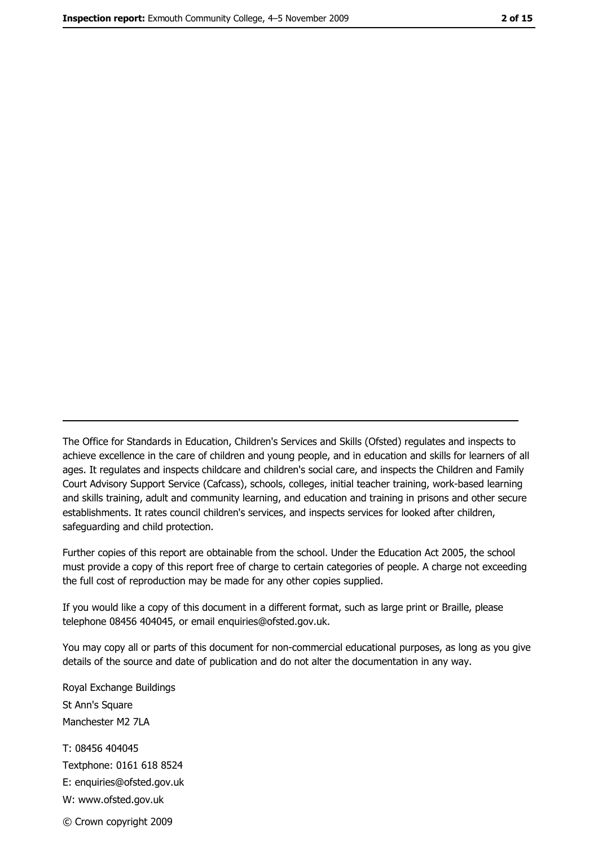The Office for Standards in Education, Children's Services and Skills (Ofsted) regulates and inspects to achieve excellence in the care of children and young people, and in education and skills for learners of all ages. It regulates and inspects childcare and children's social care, and inspects the Children and Family Court Advisory Support Service (Cafcass), schools, colleges, initial teacher training, work-based learning and skills training, adult and community learning, and education and training in prisons and other secure establishments. It rates council children's services, and inspects services for looked after children, safequarding and child protection.

Further copies of this report are obtainable from the school. Under the Education Act 2005, the school must provide a copy of this report free of charge to certain categories of people. A charge not exceeding the full cost of reproduction may be made for any other copies supplied.

If you would like a copy of this document in a different format, such as large print or Braille, please telephone 08456 404045, or email enquiries@ofsted.gov.uk.

You may copy all or parts of this document for non-commercial educational purposes, as long as you give details of the source and date of publication and do not alter the documentation in any way.

Royal Exchange Buildings St Ann's Square Manchester M2 7LA T: 08456 404045 Textphone: 0161 618 8524 E: enquiries@ofsted.gov.uk W: www.ofsted.gov.uk © Crown copyright 2009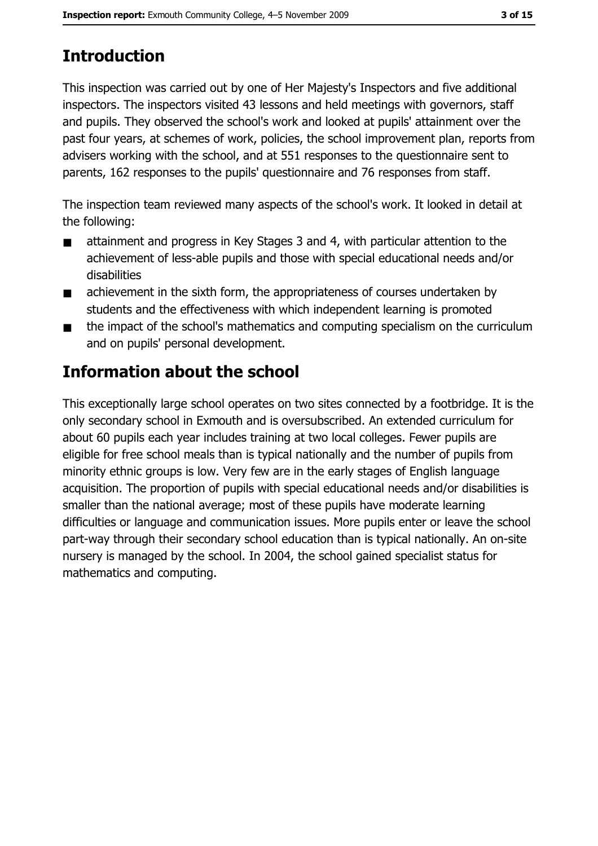# **Introduction**

This inspection was carried out by one of Her Majesty's Inspectors and five additional inspectors. The inspectors visited 43 lessons and held meetings with governors, staff and pupils. They observed the school's work and looked at pupils' attainment over the past four years, at schemes of work, policies, the school improvement plan, reports from advisers working with the school, and at 551 responses to the questionnaire sent to parents, 162 responses to the pupils' questionnaire and 76 responses from staff.

The inspection team reviewed many aspects of the school's work. It looked in detail at the following:

- attainment and progress in Key Stages 3 and 4, with particular attention to the  $\blacksquare$ achievement of less-able pupils and those with special educational needs and/or disabilities
- achievement in the sixth form, the appropriateness of courses undertaken by  $\blacksquare$ students and the effectiveness with which independent learning is promoted
- the impact of the school's mathematics and computing specialism on the curriculum  $\blacksquare$ and on pupils' personal development.

## Information about the school

This exceptionally large school operates on two sites connected by a footbridge. It is the only secondary school in Exmouth and is oversubscribed. An extended curriculum for about 60 pupils each year includes training at two local colleges. Fewer pupils are eligible for free school meals than is typical nationally and the number of pupils from minority ethnic groups is low. Very few are in the early stages of English language acquisition. The proportion of pupils with special educational needs and/or disabilities is smaller than the national average; most of these pupils have moderate learning difficulties or language and communication issues. More pupils enter or leave the school part-way through their secondary school education than is typical nationally. An on-site nursery is managed by the school. In 2004, the school gained specialist status for mathematics and computing.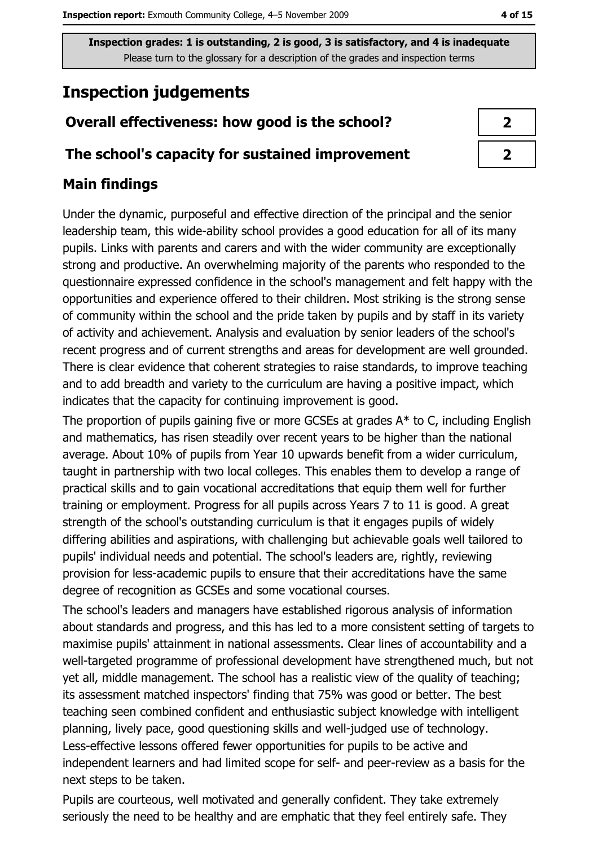## **Inspection judgements**

## Overall effectiveness: how good is the school?

#### The school's capacity for sustained improvement

### **Main findings**

Under the dynamic, purposeful and effective direction of the principal and the senior leadership team, this wide-ability school provides a good education for all of its many pupils. Links with parents and carers and with the wider community are exceptionally strong and productive. An overwhelming majority of the parents who responded to the questionnaire expressed confidence in the school's management and felt happy with the opportunities and experience offered to their children. Most striking is the strong sense of community within the school and the pride taken by pupils and by staff in its variety of activity and achievement. Analysis and evaluation by senior leaders of the school's recent progress and of current strengths and areas for development are well grounded. There is clear evidence that coherent strategies to raise standards, to improve teaching and to add breadth and variety to the curriculum are having a positive impact, which indicates that the capacity for continuing improvement is good.

The proportion of pupils gaining five or more GCSEs at grades  $A^*$  to C, including English and mathematics, has risen steadily over recent years to be higher than the national average. About 10% of pupils from Year 10 upwards benefit from a wider curriculum, taught in partnership with two local colleges. This enables them to develop a range of practical skills and to gain vocational accreditations that equip them well for further training or employment. Progress for all pupils across Years 7 to 11 is good. A great strength of the school's outstanding curriculum is that it engages pupils of widely differing abilities and aspirations, with challenging but achievable goals well tailored to pupils' individual needs and potential. The school's leaders are, rightly, reviewing provision for less-academic pupils to ensure that their accreditations have the same degree of recognition as GCSEs and some vocational courses.

The school's leaders and managers have established rigorous analysis of information about standards and progress, and this has led to a more consistent setting of targets to maximise pupils' attainment in national assessments. Clear lines of accountability and a well-targeted programme of professional development have strengthened much, but not yet all, middle management. The school has a realistic view of the quality of teaching; its assessment matched inspectors' finding that 75% was good or better. The best teaching seen combined confident and enthusiastic subject knowledge with intelligent planning, lively pace, good questioning skills and well-judged use of technology. Less-effective lessons offered fewer opportunities for pupils to be active and independent learners and had limited scope for self- and peer-review as a basis for the next steps to be taken.

Pupils are courteous, well motivated and generally confident. They take extremely seriously the need to be healthy and are emphatic that they feel entirely safe. They

| 7                          |  |
|----------------------------|--|
| $\boldsymbol{\mathcal{Z}}$ |  |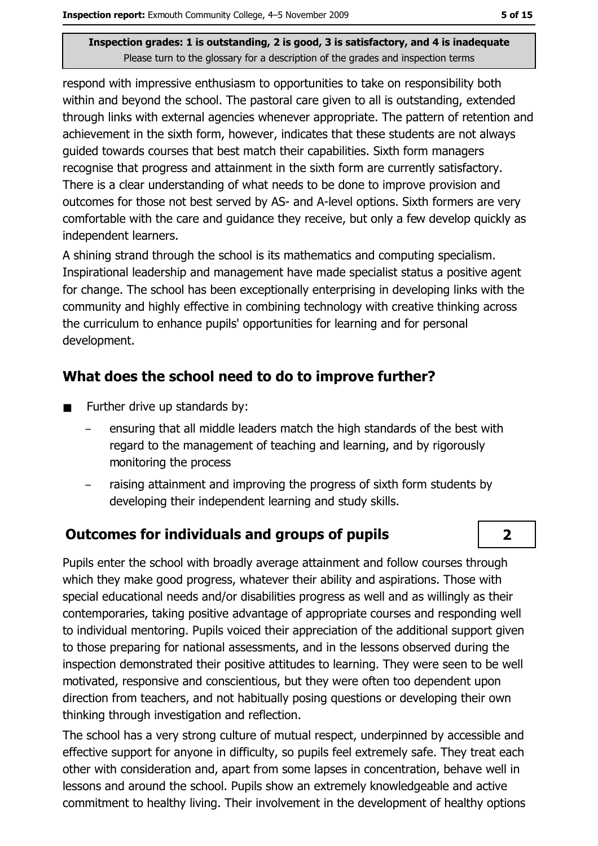respond with impressive enthusiasm to opportunities to take on responsibility both within and beyond the school. The pastoral care given to all is outstanding, extended through links with external agencies whenever appropriate. The pattern of retention and achievement in the sixth form, however, indicates that these students are not always quided towards courses that best match their capabilities. Sixth form managers recognise that progress and attainment in the sixth form are currently satisfactory. There is a clear understanding of what needs to be done to improve provision and outcomes for those not best served by AS- and A-level options. Sixth formers are very comfortable with the care and guidance they receive, but only a few develop quickly as independent learners.

A shining strand through the school is its mathematics and computing specialism. Inspirational leadership and management have made specialist status a positive agent for change. The school has been exceptionally enterprising in developing links with the community and highly effective in combining technology with creative thinking across the curriculum to enhance pupils' opportunities for learning and for personal development.

#### What does the school need to do to improve further?

- Further drive up standards by:  $\blacksquare$ 
	- ensuring that all middle leaders match the high standards of the best with regard to the management of teaching and learning, and by rigorously monitoring the process
	- raising attainment and improving the progress of sixth form students by developing their independent learning and study skills.

#### **Outcomes for individuals and groups of pupils**

Pupils enter the school with broadly average attainment and follow courses through which they make good progress, whatever their ability and aspirations. Those with special educational needs and/or disabilities progress as well and as willingly as their contemporaries, taking positive advantage of appropriate courses and responding well to individual mentoring. Pupils voiced their appreciation of the additional support given to those preparing for national assessments, and in the lessons observed during the inspection demonstrated their positive attitudes to learning. They were seen to be well motivated, responsive and conscientious, but they were often too dependent upon direction from teachers, and not habitually posing questions or developing their own thinking through investigation and reflection.

The school has a very strong culture of mutual respect, underpinned by accessible and effective support for anyone in difficulty, so pupils feel extremely safe. They treat each other with consideration and, apart from some lapses in concentration, behave well in lessons and around the school. Pupils show an extremely knowledgeable and active commitment to healthy living. Their involvement in the development of healthy options

 $\overline{2}$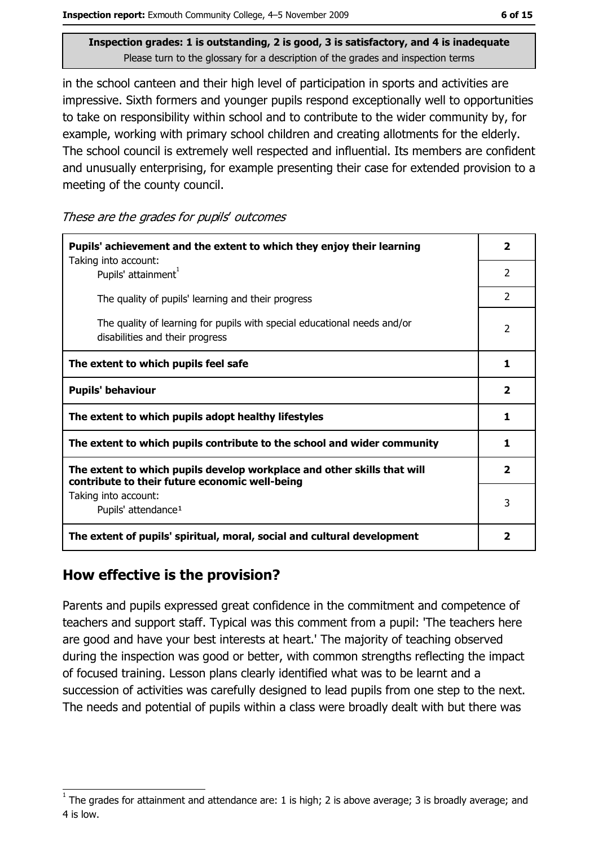Inspection report: Exmouth Community College, 4-5 November 2009

Inspection grades: 1 is outstanding, 2 is good, 3 is satisfactory, and 4 is inadequate Please turn to the glossary for a description of the grades and inspection terms

in the school canteen and their high level of participation in sports and activities are impressive. Sixth formers and younger pupils respond exceptionally well to opportunities to take on responsibility within school and to contribute to the wider community by, for example, working with primary school children and creating allotments for the elderly. The school council is extremely well respected and influential. Its members are confident and unusually enterprising, for example presenting their case for extended provision to a meeting of the county council.

These are the grades for pupils' outcomes

| Pupils' achievement and the extent to which they enjoy their learning<br>Taking into account:                             | 2                       |
|---------------------------------------------------------------------------------------------------------------------------|-------------------------|
| Pupils' attainment <sup>1</sup>                                                                                           | $\mathcal{P}$           |
| The quality of pupils' learning and their progress                                                                        | $\overline{2}$          |
| The quality of learning for pupils with special educational needs and/or<br>disabilities and their progress               | 2                       |
| The extent to which pupils feel safe                                                                                      | 1                       |
| <b>Pupils' behaviour</b>                                                                                                  | $\overline{\mathbf{2}}$ |
| The extent to which pupils adopt healthy lifestyles                                                                       | 1                       |
| The extent to which pupils contribute to the school and wider community                                                   | 1                       |
| The extent to which pupils develop workplace and other skills that will<br>contribute to their future economic well-being | $\overline{2}$          |
| Taking into account:<br>Pupils' attendance <sup>1</sup>                                                                   | 3                       |
| The extent of pupils' spiritual, moral, social and cultural development                                                   | 2                       |

#### How effective is the provision?

Parents and pupils expressed great confidence in the commitment and competence of teachers and support staff. Typical was this comment from a pupil: 'The teachers here are good and have your best interests at heart.' The majority of teaching observed during the inspection was good or better, with common strengths reflecting the impact of focused training. Lesson plans clearly identified what was to be learnt and a succession of activities was carefully designed to lead pupils from one step to the next. The needs and potential of pupils within a class were broadly dealt with but there was

The grades for attainment and attendance are: 1 is high; 2 is above average; 3 is broadly average; and 4 is low.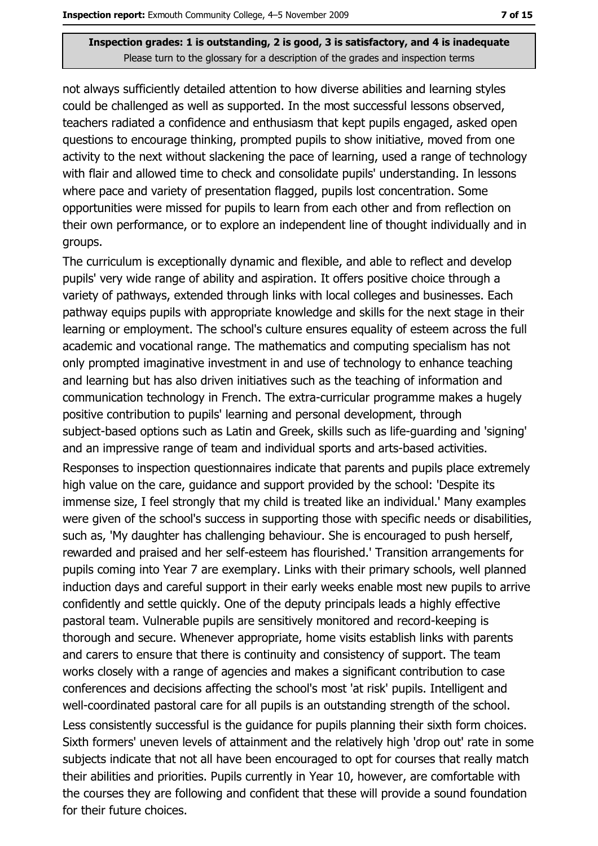not always sufficiently detailed attention to how diverse abilities and learning styles could be challenged as well as supported. In the most successful lessons observed, teachers radiated a confidence and enthusiasm that kept pupils engaged, asked open questions to encourage thinking, prompted pupils to show initiative, moved from one activity to the next without slackening the pace of learning, used a range of technology with flair and allowed time to check and consolidate pupils' understanding. In lessons where pace and variety of presentation flagged, pupils lost concentration. Some opportunities were missed for pupils to learn from each other and from reflection on their own performance, or to explore an independent line of thought individually and in groups.

The curriculum is exceptionally dynamic and flexible, and able to reflect and develop pupils' very wide range of ability and aspiration. It offers positive choice through a variety of pathways, extended through links with local colleges and businesses. Each pathway equips pupils with appropriate knowledge and skills for the next stage in their learning or employment. The school's culture ensures equality of esteem across the full academic and vocational range. The mathematics and computing specialism has not only prompted imaginative investment in and use of technology to enhance teaching and learning but has also driven initiatives such as the teaching of information and communication technology in French. The extra-curricular programme makes a hugely positive contribution to pupils' learning and personal development, through subject-based options such as Latin and Greek, skills such as life-guarding and 'signing' and an impressive range of team and individual sports and arts-based activities.

Responses to inspection questionnaires indicate that parents and pupils place extremely high value on the care, guidance and support provided by the school: 'Despite its immense size, I feel strongly that my child is treated like an individual.' Many examples were given of the school's success in supporting those with specific needs or disabilities, such as, 'My daughter has challenging behaviour. She is encouraged to push herself, rewarded and praised and her self-esteem has flourished.' Transition arrangements for pupils coming into Year 7 are exemplary. Links with their primary schools, well planned induction days and careful support in their early weeks enable most new pupils to arrive confidently and settle quickly. One of the deputy principals leads a highly effective pastoral team. Vulnerable pupils are sensitively monitored and record-keeping is thorough and secure. Whenever appropriate, home visits establish links with parents and carers to ensure that there is continuity and consistency of support. The team works closely with a range of agencies and makes a significant contribution to case conferences and decisions affecting the school's most 'at risk' pupils. Intelligent and well-coordinated pastoral care for all pupils is an outstanding strength of the school.

Less consistently successful is the quidance for pupils planning their sixth form choices. Sixth formers' uneven levels of attainment and the relatively high 'drop out' rate in some subjects indicate that not all have been encouraged to opt for courses that really match their abilities and priorities. Pupils currently in Year 10, however, are comfortable with the courses they are following and confident that these will provide a sound foundation for their future choices.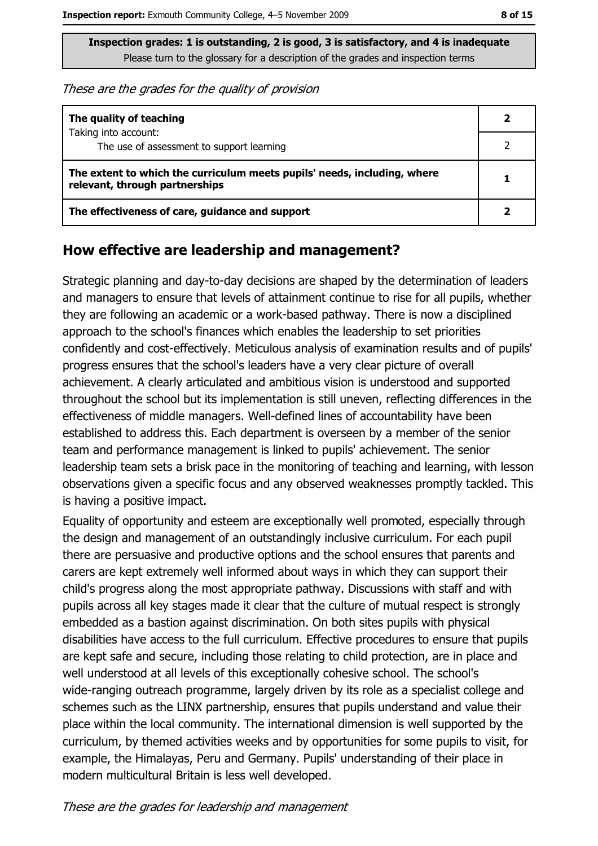These are the grades for the quality of provision

| The quality of teaching                                                                                    |  |
|------------------------------------------------------------------------------------------------------------|--|
| Taking into account:<br>The use of assessment to support learning                                          |  |
| The extent to which the curriculum meets pupils' needs, including, where<br>relevant, through partnerships |  |
| The effectiveness of care, guidance and support                                                            |  |

#### How effective are leadership and management?

Strategic planning and day-to-day decisions are shaped by the determination of leaders and managers to ensure that levels of attainment continue to rise for all pupils, whether they are following an academic or a work-based pathway. There is now a disciplined approach to the school's finances which enables the leadership to set priorities confidently and cost-effectively. Meticulous analysis of examination results and of pupils' progress ensures that the school's leaders have a very clear picture of overall achievement. A clearly articulated and ambitious vision is understood and supported throughout the school but its implementation is still uneven, reflecting differences in the effectiveness of middle managers. Well-defined lines of accountability have been established to address this. Each department is overseen by a member of the senior team and performance management is linked to pupils' achievement. The senior leadership team sets a brisk pace in the monitoring of teaching and learning, with lesson observations given a specific focus and any observed weaknesses promptly tackled. This is having a positive impact.

Equality of opportunity and esteem are exceptionally well promoted, especially through the design and management of an outstandingly inclusive curriculum. For each pupil there are persuasive and productive options and the school ensures that parents and carers are kept extremely well informed about ways in which they can support their child's progress along the most appropriate pathway. Discussions with staff and with pupils across all key stages made it clear that the culture of mutual respect is strongly embedded as a bastion against discrimination. On both sites pupils with physical disabilities have access to the full curriculum. Effective procedures to ensure that pupils are kept safe and secure, including those relating to child protection, are in place and well understood at all levels of this exceptionally cohesive school. The school's wide-ranging outreach programme, largely driven by its role as a specialist college and schemes such as the LINX partnership, ensures that pupils understand and value their place within the local community. The international dimension is well supported by the curriculum, by themed activities weeks and by opportunities for some pupils to visit, for example, the Himalayas, Peru and Germany. Pupils' understanding of their place in modern multicultural Britain is less well developed.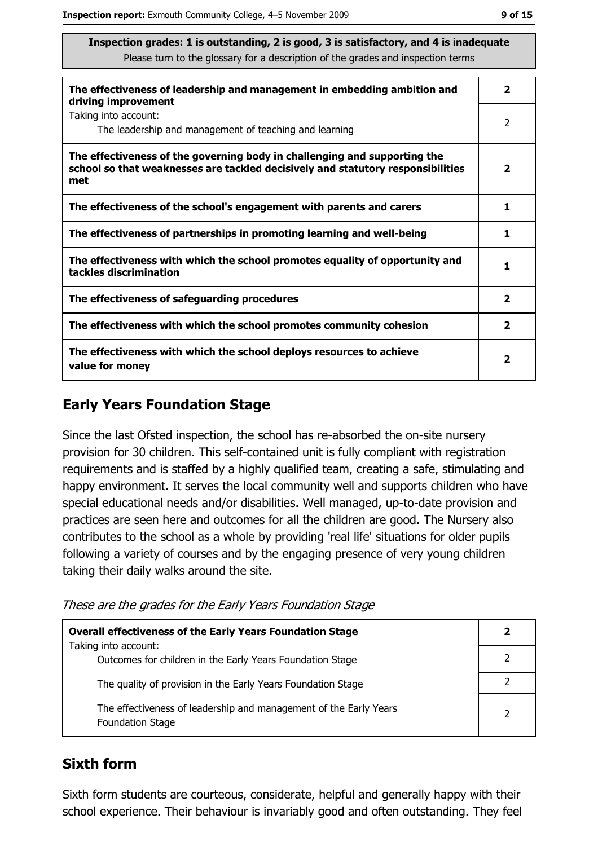| The effectiveness of leadership and management in embedding ambition and<br>driving improvement                                                                     | 2                       |
|---------------------------------------------------------------------------------------------------------------------------------------------------------------------|-------------------------|
| Taking into account:<br>The leadership and management of teaching and learning                                                                                      | 2                       |
| The effectiveness of the governing body in challenging and supporting the<br>school so that weaknesses are tackled decisively and statutory responsibilities<br>met | 2                       |
| The effectiveness of the school's engagement with parents and carers                                                                                                | 1                       |
| The effectiveness of partnerships in promoting learning and well-being                                                                                              | 1                       |
| The effectiveness with which the school promotes equality of opportunity and<br>tackles discrimination                                                              | 1                       |
| The effectiveness of safeguarding procedures                                                                                                                        | $\mathbf{2}$            |
| The effectiveness with which the school promotes community cohesion                                                                                                 | $\overline{\mathbf{2}}$ |
| The effectiveness with which the school deploys resources to achieve<br>value for money                                                                             | $\mathbf{2}$            |

## **Early Years Foundation Stage**

Since the last Ofsted inspection, the school has re-absorbed the on-site nursery provision for 30 children. This self-contained unit is fully compliant with registration requirements and is staffed by a highly qualified team, creating a safe, stimulating and happy environment. It serves the local community well and supports children who have special educational needs and/or disabilities. Well managed, up-to-date provision and practices are seen here and outcomes for all the children are good. The Nursery also contributes to the school as a whole by providing 'real life' situations for older pupils following a variety of courses and by the engaging presence of very young children taking their daily walks around the site.

These are the grades for the Early Years Foundation Stage

| <b>Overall effectiveness of the Early Years Foundation Stage</b>                             | 2              |
|----------------------------------------------------------------------------------------------|----------------|
| Taking into account:<br>Outcomes for children in the Early Years Foundation Stage            |                |
|                                                                                              |                |
| The quality of provision in the Early Years Foundation Stage                                 |                |
| The effectiveness of leadership and management of the Early Years<br><b>Foundation Stage</b> | $\overline{2}$ |

#### **Sixth form**

Sixth form students are courteous, considerate, helpful and generally happy with their school experience. Their behaviour is invariably good and often outstanding. They feel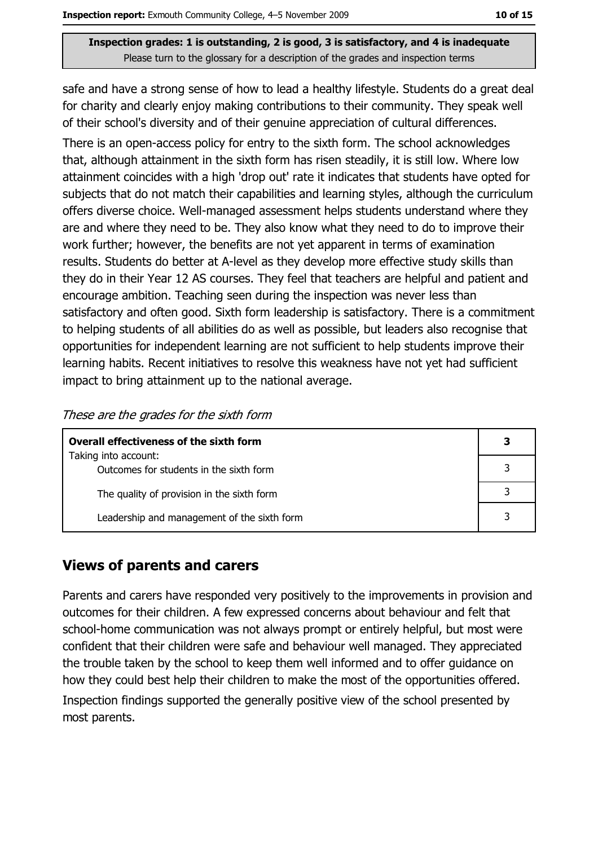safe and have a strong sense of how to lead a healthy lifestyle. Students do a great deal for charity and clearly enjoy making contributions to their community. They speak well of their school's diversity and of their genuine appreciation of cultural differences.

There is an open-access policy for entry to the sixth form. The school acknowledges that, although attainment in the sixth form has risen steadily, it is still low. Where low attainment coincides with a high 'drop out' rate it indicates that students have opted for subjects that do not match their capabilities and learning styles, although the curriculum offers diverse choice. Well-managed assessment helps students understand where they are and where they need to be. They also know what they need to do to improve their work further; however, the benefits are not yet apparent in terms of examination results. Students do better at A-level as they develop more effective study skills than they do in their Year 12 AS courses. They feel that teachers are helpful and patient and encourage ambition. Teaching seen during the inspection was never less than satisfactory and often good. Sixth form leadership is satisfactory. There is a commitment to helping students of all abilities do as well as possible, but leaders also recognise that opportunities for independent learning are not sufficient to help students improve their learning habits. Recent initiatives to resolve this weakness have not yet had sufficient impact to bring attainment up to the national average.

| These are the grades for the sixth form |  |  |  |  |
|-----------------------------------------|--|--|--|--|
|-----------------------------------------|--|--|--|--|

| Overall effectiveness of the sixth form                         |  |
|-----------------------------------------------------------------|--|
| Taking into account:<br>Outcomes for students in the sixth form |  |
| The quality of provision in the sixth form                      |  |
| Leadership and management of the sixth form                     |  |

#### **Views of parents and carers**

Parents and carers have responded very positively to the improvements in provision and outcomes for their children. A few expressed concerns about behaviour and felt that school-home communication was not always prompt or entirely helpful, but most were confident that their children were safe and behaviour well managed. They appreciated the trouble taken by the school to keep them well informed and to offer quidance on how they could best help their children to make the most of the opportunities offered. Inspection findings supported the generally positive view of the school presented by most parents.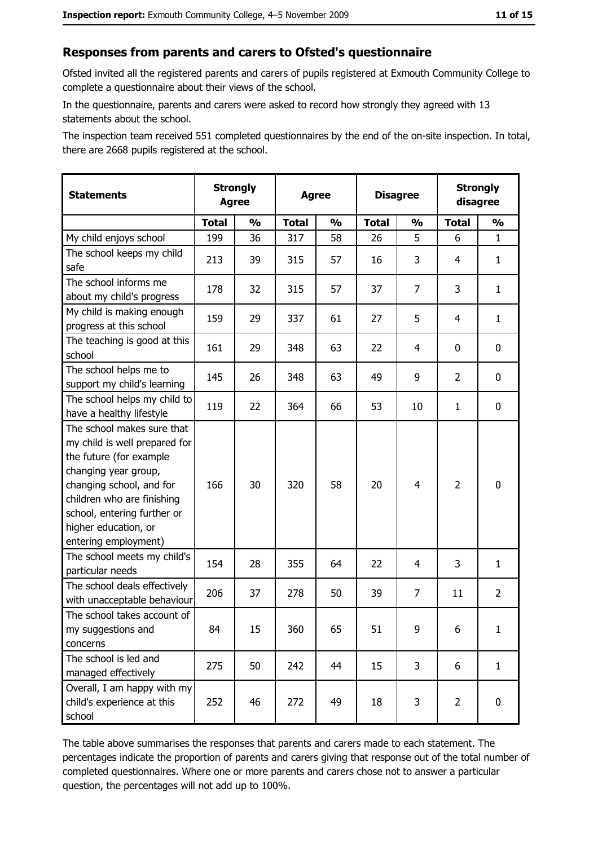#### Responses from parents and carers to Ofsted's questionnaire

Ofsted invited all the registered parents and carers of pupils registered at Exmouth Community College to complete a questionnaire about their views of the school.

In the questionnaire, parents and carers were asked to record how strongly they agreed with 13 statements about the school.

The inspection team received 551 completed questionnaires by the end of the on-site inspection. In total, there are 2668 pupils registered at the school.

| <b>Statements</b>                                                                                                                                                                                                                                       | <b>Agree</b> | <b>Strongly</b> | <b>Agree</b> |               | <b>Disagree</b> |                | <b>Strongly</b><br>disagree |                |
|---------------------------------------------------------------------------------------------------------------------------------------------------------------------------------------------------------------------------------------------------------|--------------|-----------------|--------------|---------------|-----------------|----------------|-----------------------------|----------------|
|                                                                                                                                                                                                                                                         | <b>Total</b> | $\frac{0}{0}$   | <b>Total</b> | $\frac{0}{0}$ | <b>Total</b>    | $\frac{1}{2}$  | <b>Total</b>                | $\frac{1}{2}$  |
| My child enjoys school                                                                                                                                                                                                                                  | 199          | 36              | 317          | 58            | 26              | 5              | 6                           | $\mathbf{1}$   |
| The school keeps my child<br>safe                                                                                                                                                                                                                       | 213          | 39              | 315          | 57            | 16              | 3              | 4                           | $\mathbf{1}$   |
| The school informs me<br>about my child's progress                                                                                                                                                                                                      | 178          | 32              | 315          | 57            | 37              | 7              | 3                           | $\mathbf{1}$   |
| My child is making enough<br>progress at this school                                                                                                                                                                                                    | 159          | 29              | 337          | 61            | 27              | 5              | $\overline{4}$              | $\mathbf{1}$   |
| The teaching is good at this<br>school                                                                                                                                                                                                                  | 161          | 29              | 348          | 63            | 22              | 4              | 0                           | 0              |
| The school helps me to<br>support my child's learning                                                                                                                                                                                                   | 145          | 26              | 348          | 63            | 49              | 9              | $\overline{2}$              | $\mathbf 0$    |
| The school helps my child to<br>have a healthy lifestyle                                                                                                                                                                                                | 119          | 22              | 364          | 66            | 53              | 10             | 1                           | $\mathbf 0$    |
| The school makes sure that<br>my child is well prepared for<br>the future (for example<br>changing year group,<br>changing school, and for<br>children who are finishing<br>school, entering further or<br>higher education, or<br>entering employment) | 166          | 30              | 320          | 58            | 20              | $\overline{4}$ | $\overline{2}$              | $\bf{0}$       |
| The school meets my child's<br>particular needs                                                                                                                                                                                                         | 154          | 28              | 355          | 64            | 22              | 4              | 3                           | $\mathbf{1}$   |
| The school deals effectively<br>with unacceptable behaviour                                                                                                                                                                                             | 206          | 37              | 278          | 50            | 39              | $\overline{7}$ | 11                          | $\overline{2}$ |
| The school takes account of<br>my suggestions and<br>concerns                                                                                                                                                                                           | 84           | 15              | 360          | 65            | 51              | 9              | 6                           | $\mathbf{1}$   |
| The school is led and<br>managed effectively                                                                                                                                                                                                            | 275          | 50              | 242          | 44            | 15              | 3              | 6                           | $\mathbf{1}$   |
| Overall, I am happy with my<br>child's experience at this<br>school                                                                                                                                                                                     | 252          | 46              | 272          | 49            | 18              | 3              | $\overline{2}$              | 0              |

The table above summarises the responses that parents and carers made to each statement. The percentages indicate the proportion of parents and carers giving that response out of the total number of completed questionnaires. Where one or more parents and carers chose not to answer a particular question, the percentages will not add up to 100%.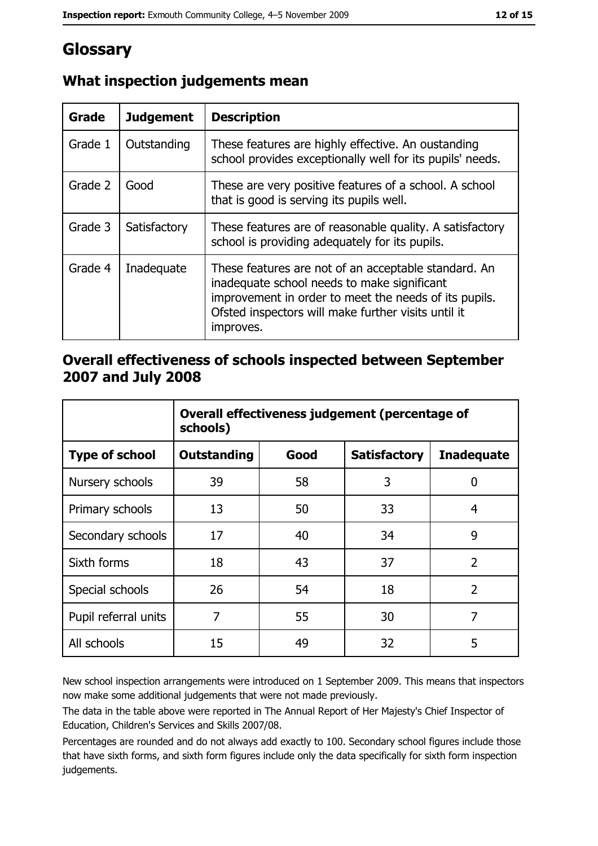# Glossary

| Grade   | <b>Judgement</b> | <b>Description</b>                                                                                                                                                                                                               |
|---------|------------------|----------------------------------------------------------------------------------------------------------------------------------------------------------------------------------------------------------------------------------|
| Grade 1 | Outstanding      | These features are highly effective. An oustanding<br>school provides exceptionally well for its pupils' needs.                                                                                                                  |
| Grade 2 | Good             | These are very positive features of a school. A school<br>that is good is serving its pupils well.                                                                                                                               |
| Grade 3 | Satisfactory     | These features are of reasonable quality. A satisfactory<br>school is providing adequately for its pupils.                                                                                                                       |
| Grade 4 | Inadequate       | These features are not of an acceptable standard. An<br>inadequate school needs to make significant<br>improvement in order to meet the needs of its pupils.<br>Ofsted inspectors will make further visits until it<br>improves. |

## What inspection judgements mean

#### Overall effectiveness of schools inspected between September 2007 and July 2008

|                       | Overall effectiveness judgement (percentage of<br>schools) |      |                     |                   |
|-----------------------|------------------------------------------------------------|------|---------------------|-------------------|
| <b>Type of school</b> | Outstanding                                                | Good | <b>Satisfactory</b> | <b>Inadequate</b> |
| Nursery schools       | 39                                                         | 58   | 3                   | 0                 |
| Primary schools       | 13                                                         | 50   | 33                  | 4                 |
| Secondary schools     | 17                                                         | 40   | 34                  | 9                 |
| Sixth forms           | 18                                                         | 43   | 37                  | $\overline{2}$    |
| Special schools       | 26                                                         | 54   | 18                  | $\overline{2}$    |
| Pupil referral units  | 7                                                          | 55   | 30                  | 7                 |
| All schools           | 15                                                         | 49   | 32                  | 5                 |

New school inspection arrangements were introduced on 1 September 2009. This means that inspectors now make some additional judgements that were not made previously.

The data in the table above were reported in The Annual Report of Her Majesty's Chief Inspector of Education, Children's Services and Skills 2007/08.

Percentages are rounded and do not always add exactly to 100. Secondary school figures include those that have sixth forms, and sixth form figures include only the data specifically for sixth form inspection judgements.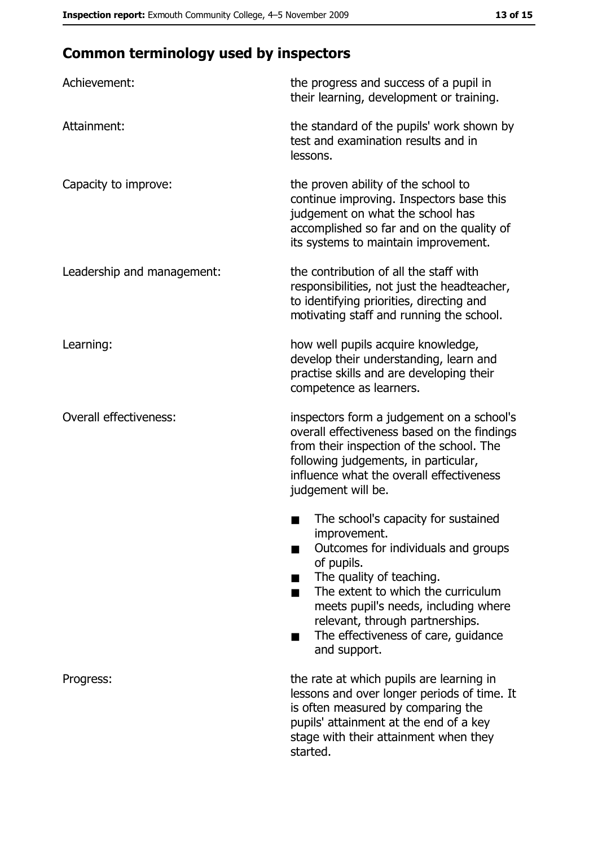## **Common terminology used by inspectors**

| Achievement:                  | the progress and success of a pupil in<br>their learning, development or training.                                                                                                                                                                                                                           |  |
|-------------------------------|--------------------------------------------------------------------------------------------------------------------------------------------------------------------------------------------------------------------------------------------------------------------------------------------------------------|--|
| Attainment:                   | the standard of the pupils' work shown by<br>test and examination results and in<br>lessons.                                                                                                                                                                                                                 |  |
| Capacity to improve:          | the proven ability of the school to<br>continue improving. Inspectors base this<br>judgement on what the school has<br>accomplished so far and on the quality of<br>its systems to maintain improvement.                                                                                                     |  |
| Leadership and management:    | the contribution of all the staff with<br>responsibilities, not just the headteacher,<br>to identifying priorities, directing and<br>motivating staff and running the school.                                                                                                                                |  |
| Learning:                     | how well pupils acquire knowledge,<br>develop their understanding, learn and<br>practise skills and are developing their<br>competence as learners.                                                                                                                                                          |  |
| <b>Overall effectiveness:</b> | inspectors form a judgement on a school's<br>overall effectiveness based on the findings<br>from their inspection of the school. The<br>following judgements, in particular,<br>influence what the overall effectiveness<br>judgement will be.                                                               |  |
|                               | The school's capacity for sustained<br>improvement.<br>Outcomes for individuals and groups<br>of pupils.<br>The quality of teaching.<br>The extent to which the curriculum<br>meets pupil's needs, including where<br>relevant, through partnerships.<br>The effectiveness of care, guidance<br>and support. |  |
| Progress:                     | the rate at which pupils are learning in<br>lessons and over longer periods of time. It<br>is often measured by comparing the<br>pupils' attainment at the end of a key<br>stage with their attainment when they<br>started.                                                                                 |  |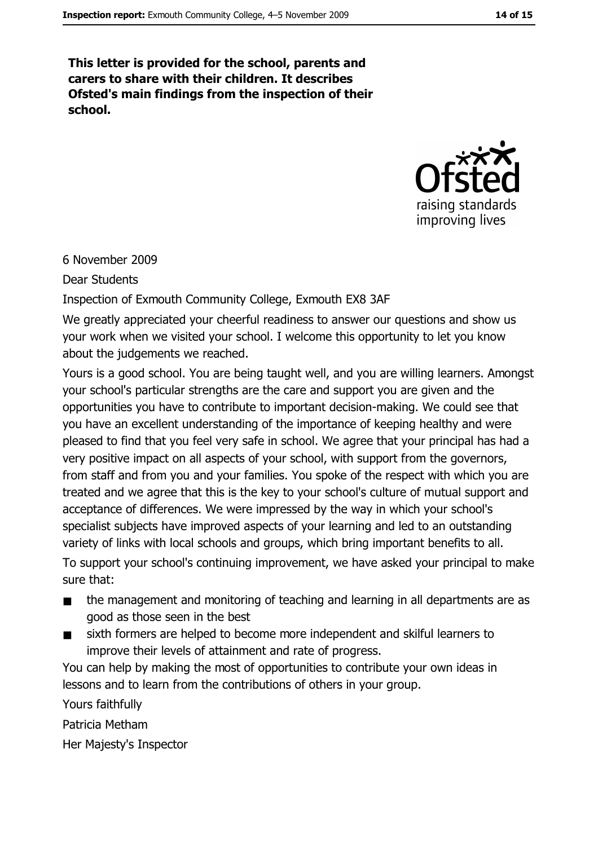This letter is provided for the school, parents and carers to share with their children. It describes Ofsted's main findings from the inspection of their school.



#### 6 November 2009

**Dear Students** 

Inspection of Exmouth Community College, Exmouth EX8 3AF

We greatly appreciated your cheerful readiness to answer our questions and show us your work when we visited your school. I welcome this opportunity to let you know about the judgements we reached.

Yours is a good school. You are being taught well, and you are willing learners. Amongst your school's particular strengths are the care and support you are given and the opportunities you have to contribute to important decision-making. We could see that you have an excellent understanding of the importance of keeping healthy and were pleased to find that you feel very safe in school. We agree that your principal has had a very positive impact on all aspects of your school, with support from the governors, from staff and from you and your families. You spoke of the respect with which you are treated and we agree that this is the key to your school's culture of mutual support and acceptance of differences. We were impressed by the way in which your school's specialist subjects have improved aspects of your learning and led to an outstanding variety of links with local schools and groups, which bring important benefits to all.

To support your school's continuing improvement, we have asked your principal to make sure that:

- the management and monitoring of teaching and learning in all departments are as  $\blacksquare$ good as those seen in the best
- sixth formers are helped to become more independent and skilful learners to  $\blacksquare$ improve their levels of attainment and rate of progress.

You can help by making the most of opportunities to contribute your own ideas in lessons and to learn from the contributions of others in your group.

Yours faithfully Patricia Metham

Her Majesty's Inspector